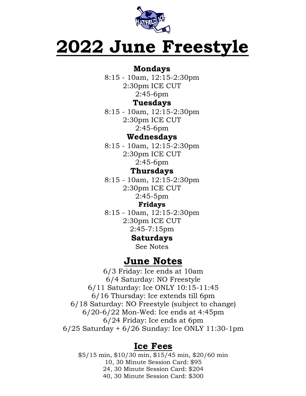

# **2022 June Freestyle**

#### **Mondays**

8:15 - 10am, 12:15-2:30pm 2:30pm ICE CUT 2:45-6pm

#### **Tuesdays**

8:15 - 10am, 12:15-2:30pm 2:30pm ICE CUT 2:45-6pm

#### **Wednesdays**

8:15 - 10am, 12:15-2:30pm 2:30pm ICE CUT 2:45-6pm

### **Thursdays**

8:15 - 10am, 12:15-2:30pm 2:30pm ICE CUT 2:45-5pm

#### **Fridays**

8:15 - 10am, 12:15-2:30pm 2:30pm ICE CUT 2:45-7:15pm

## **Saturdays**

See Notes

## **June Notes**

6/3 Friday: Ice ends at 10am 6/4 Saturday: NO Freestyle 6/11 Saturday: Ice ONLY 10:15-11:45 6/16 Thursday: Ice extends till 6pm 6/18 Saturday: NO Freestyle (subject to change) 6/20-6/22 Mon-Wed: Ice ends at 4:45pm 6/24 Friday: Ice ends at 6pm 6/25 Saturday + 6/26 Sunday: Ice ONLY 11:30-1pm

## **Ice Fees**

\$5/15 min, \$10/30 min, \$15/45 min, \$20/60 min 10, 30 Minute Session Card: \$95 24, 30 Minute Session Card: \$204 40, 30 Minute Session Card: \$300